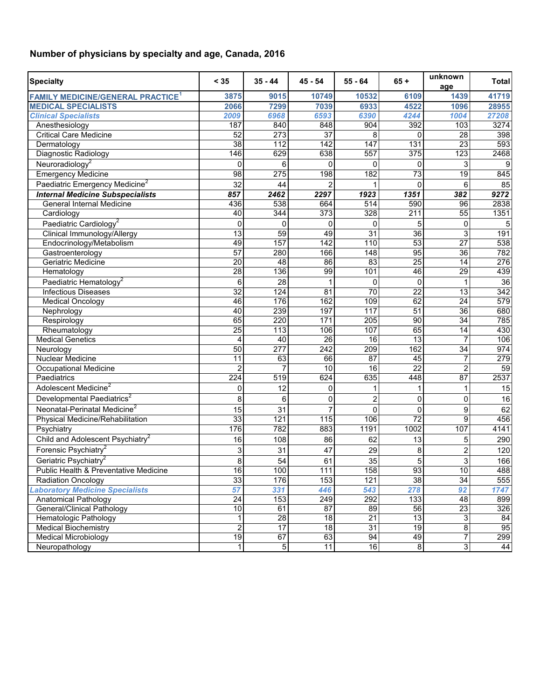## **Number of physicians by specialty and age, Canada, 2016**

| <b>Specialty</b>                                    | < 35             | $35 - 44$        | $45 - 54$        | $55 - 64$        | $65 +$           | unknown<br>age  | <b>Total</b> |
|-----------------------------------------------------|------------------|------------------|------------------|------------------|------------------|-----------------|--------------|
| <b>FAMILY MEDICINE/GENERAL PRACTICE<sup>1</sup></b> | 3875             | 9015             | 10749            | 10532            | 6109             | 1439            | 41719        |
| <b>MEDICAL SPECIALISTS</b>                          | 2066             | 7299             | 7039             | 6933             | 4522             | 1096            | 28955        |
| <b>Clinical Specialists</b>                         | 2009             | 6968             | 6593             | 6390             | 4244             | 1004            | 27208        |
| Anesthesiology                                      | 187              | 840              | 848              | 904              | 392              | 103             | 3274         |
| <b>Critical Care Medicine</b>                       | 52               | 273              | $\overline{37}$  | 8                | 0                | 28              | 398          |
| Dermatology                                         | 38               | 112              | 142              | 147              | 131              | 23              | 593          |
| Diagnostic Radiology                                | 146              | 629              | 638              | 557              | 375              | 123             | 2468         |
| Neuroradiology <sup>2</sup>                         | 0                | 6                | $\mathbf{0}$     | 0                | 0                | 3               | 9            |
| <b>Emergency Medicine</b>                           | 98               | 275              | 198              | 182              | 73               | $\overline{19}$ | 845          |
| Paediatric Emergency Medicine <sup>2</sup>          | 32               | 44               | $\overline{2}$   |                  | $\Omega$         | 6               | 85           |
| <b>Internal Medicine Subspecialists</b>             | 857              | 2462             | 2297             | 1923             | 1351             | 382             | 9272         |
| General Internal Medicine                           | 436              | 538              | 664              | $\overline{514}$ | 590              | 96              | 2838         |
| Cardiology                                          | 40               | 344              | $\overline{373}$ | 328              | $\overline{211}$ | 55              | 1351         |
| Paediatric Cardiology <sup>2</sup>                  | 0                | 0                | 0                | 0                | 5                | 0               | 5            |
| Clinical Immunology/Allergy                         | $\overline{13}$  | 59               | 49               | $\overline{31}$  | 36               | 3               | 191          |
| Endocrinology/Metabolism                            | 49               | 157              | 142              | 110              | $\overline{53}$  | $\overline{27}$ | 538          |
| Gastroenterology                                    | 57               | 280              | 166              | $\overline{148}$ | $\overline{95}$  | $\overline{36}$ | 782          |
| Geriatric Medicine                                  | 20               | 48               | 86               | 83               | $\overline{25}$  | 14              | 276          |
| Hematology                                          | 28               | 136              | 99               | 101              | 46               | 29              | 439          |
| Paediatric Hematology <sup>2</sup>                  | 6                | 28               | 1                | 0                | $\mathbf 0$      | 1               | 36           |
| <b>Infectious Diseases</b>                          | 32               | 124              | 81               | 70               | $\overline{22}$  | 13              | 342          |
| <b>Medical Oncology</b>                             | 46               | 176              | 162              | 109              | 62               | $\overline{24}$ | 579          |
| Nephrology                                          | 40               | 239              | 197              | 117              | 51               | 36              | 680          |
| Respirology                                         | 65               | 220              | 171              | $\overline{205}$ | $\overline{90}$  | $\overline{34}$ | 785          |
| Rheumatology                                        | $\overline{25}$  | $\overline{113}$ | 106              | 107              | 65               | $\overline{14}$ | 430          |
| <b>Medical Genetics</b>                             | $\overline{4}$   | 40               | 26               | 16               | 13               | $\overline{7}$  | 106          |
| Neurology                                           | 50               | 277              | 242              | 209              | 162              | 34              | 974          |
| <b>Nuclear Medicine</b>                             | 11               | 63               | 66               | 87               | 45               | $\overline{7}$  | 279          |
| <b>Occupational Medicine</b>                        | $\overline{2}$   | $\overline{7}$   | 10               | $\overline{16}$  | $\overline{22}$  | $\overline{2}$  | 59           |
| Paediatrics                                         | $\overline{224}$ | $\overline{519}$ | 624              | 635              | 448              | 87              | 2537         |
| Adolescent Medicine <sup>2</sup>                    | 0                | 12               | 0                | 1                | 1                | 1               | 15           |
| Developmental Paediatrics <sup>2</sup>              | 8                | 6                | $\mathbf 0$      | 2                | $\mathbf 0$      | 0               | 16           |
| Neonatal-Perinatal Medicine <sup>2</sup>            | 15               | 31               | $\overline{7}$   | $\Omega$         | 0                | 9               | 62           |
| Physical Medicine/Rehabilitation                    | 33               | 121              | 115              | 106              | $\overline{72}$  | 9               | 456          |
| Psychiatry                                          | 176              | 782              | 883              | 1191             | 1002             | 107             | 4141         |
| Child and Adolescent Psychiatry <sup>2</sup>        | 16               | 108              | 86               | 62               | 13               | 5               | 290          |
| Forensic Psychiatry <sup>2</sup>                    | 3                | 31               | 47               | 29               | 8                | $\overline{c}$  | 120          |
| Geriatric Psychiatry <sup>2</sup>                   | 8                | 54               | 61               | 35               | 5                | 3               | 166          |
| Public Health & Preventative Medicine               | 16               | 100              | 111              | 158              | 93               | $\overline{10}$ | 488          |
| <b>Radiation Oncology</b>                           | 33               | 176              | 153              | 121              | $\overline{38}$  | 34              | 555          |
| <b>Laboratory Medicine Specialists</b>              | 57               | 331              | 446              | 543              | 278              | 92              | 1747         |
| Anatomical Pathology                                | $\overline{24}$  | 153              | 249              | 292              | 133              | $\overline{48}$ | 899          |
| <b>General/Clinical Pathology</b>                   | 10               | 61               | 87               | 89               | 56               | 23              | 326          |
| Hematologic Pathology                               | 1                | 28               | $\overline{18}$  | $\overline{21}$  | $\overline{13}$  | 3               | 84           |
| <b>Medical Biochemistry</b>                         | $\overline{c}$   | $\overline{17}$  | 18               | 31               | 19               | 8               | 95           |
| <b>Medical Microbiology</b>                         | $\overline{19}$  | 67               | 63               | 94               | 49               | $\overline{7}$  | 299          |
| Neuropathology                                      | $\mathbf{1}$     | 5                | 11               | 16               | $\overline{8}$   | $\overline{3}$  | 44           |